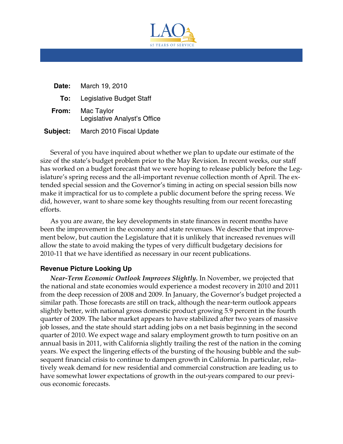

| Date:    | March 19, 2010                             |
|----------|--------------------------------------------|
| To:      | Legislative Budget Staff                   |
| From:    | Mac Taylor<br>Legislative Analyst's Office |
| Subject: | March 2010 Fiscal Update                   |

Several of you have inquired about whether we plan to update our estimate of the size of the state's budget problem prior to the May Revision. In recent weeks, our staff has worked on a budget forecast that we were hoping to release publicly before the Legislature's spring recess and the all-important revenue collection month of April. The extended special session and the Governor's timing in acting on special session bills now make it impractical for us to complete a public document before the spring recess. We did, however, want to share some key thoughts resulting from our recent forecasting efforts.

As you are aware, the key developments in state finances in recent months have been the improvement in the economy and state revenues. We describe that improvement below, but caution the Legislature that it is unlikely that increased revenues will allow the state to avoid making the types of very difficult budgetary decisions for 2010-11 that we have identified as necessary in our recent publications.

## **Revenue Picture Looking Up**

*Near-Term Economic Outlook Improves Slightly.* In November, we projected that the national and state economies would experience a modest recovery in 2010 and 2011 from the deep recession of 2008 and 2009. In January, the Governor's budget projected a similar path. Those forecasts are still on track, although the near-term outlook appears slightly better, with national gross domestic product growing 5.9 percent in the fourth quarter of 2009. The labor market appears to have stabilized after two years of massive job losses, and the state should start adding jobs on a net basis beginning in the second quarter of 2010. We expect wage and salary employment growth to turn positive on an annual basis in 2011, with California slightly trailing the rest of the nation in the coming years. We expect the lingering effects of the bursting of the housing bubble and the subsequent financial crisis to continue to dampen growth in California. In particular, relatively weak demand for new residential and commercial construction are leading us to have somewhat lower expectations of growth in the out-years compared to our previous economic forecasts.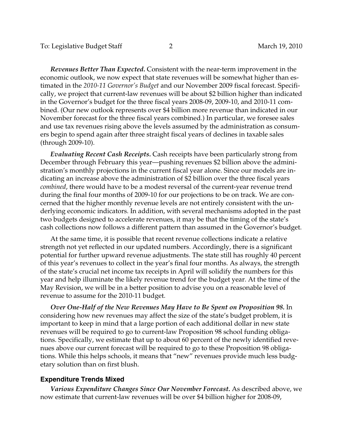*Revenues Better Than Expected.* Consistent with the near-term improvement in the economic outlook, we now expect that state revenues will be somewhat higher than estimated in the *2010-11 Governor's Budget* and our November 2009 fiscal forecast. Specifically, we project that current-law revenues will be about \$2 billion higher than indicated in the Governor's budget for the three fiscal years 2008-09, 2009-10, and 2010-11 combined. (Our new outlook represents over \$4 billion more revenue than indicated in our November forecast for the three fiscal years combined.) In particular, we foresee sales and use tax revenues rising above the levels assumed by the administration as consumers begin to spend again after three straight fiscal years of declines in taxable sales (through 2009-10).

*combined* , there would have to be a modest reversal of the current-year revenue trend *Evaluating Recent Cash Receipts.* Cash receipts have been particularly strong from December through February this year—pushing revenues \$2 billion above the administration's monthly projections in the current fiscal year alone. Since our models are indicating an increase above the administration of \$2 billion over the three fiscal years during the final four months of 2009-10 for our projections to be on track. We are concerned that the higher monthly revenue levels are not entirely consistent with the underlying economic indicators. In addition, with several mechanisms adopted in the past two budgets designed to accelerate revenues, it may be that the timing of the state's cash collections now follows a different pattern than assumed in the Governor's budget.

At the same time, it is possible that recent revenue collections indicate a relative strength not yet reflected in our updated numbers. Accordingly, there is a significant potential for further upward revenue adjustments. The state still has roughly 40 percent of this year's revenues to collect in the year's final four months. As always, the strength of the state's crucial net income tax receipts in April will solidify the numbers for this year and help illuminate the likely revenue trend for the budget year. At the time of the May Revision, we will be in a better position to advise you on a reasonable level of revenue to assume for the 2010-11 budget.

*Over One-Half of the New Revenues May Have to Be Spent on Proposition 98.* In considering how new revenues may affect the size of the state's budget problem, it is important to keep in mind that a large portion of each additional dollar in new state revenues will be required to go to current-law Proposition 98 school funding obligations. Specifically, we estimate that up to about 60 percent of the newly identified revenues above our current forecast will be required to go to these Proposition 98 obligations. While this helps schools, it means that "new" revenues provide much less budgetary solution than on first blush.

## **Expenditure Trends Mixed**

*Various Expenditure Changes Since Our November Forecast.* As described above, we now estimate that current-law revenues will be over \$4 billion higher for 2008-09,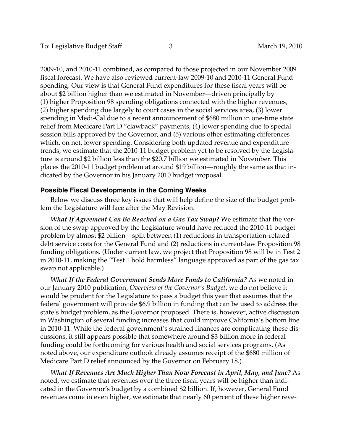2009-10, and 2010-11 combined, as compared to those projected in our November 2009 fiscal forecast. We have also reviewed current-law 2009-10 and 2010-11 General Fund spending. Our view is that General Fund expenditures for these fiscal years will be about \$2 billion higher than we estimated in November—driven principally by (1) higher Proposition 98 spending obligations connected with the higher revenues, (2) higher spending due largely to court cases in the social services area, (3) lower spending in Medi-Cal due to a recent announcement of \$680 million in one-time state relief from Medicare Part D "clawback" payments, (4) lower spending due to special session bills approved by the Governor, and (5) various other estimating differences which, on net, lower spending. Considering both updated revenue and expenditure trends, we estimate that the 2010-11 budget problem yet to be resolved by the Legislature is around \$2 billion less than the \$20.7 billion we estimated in November. This places the 2010-11 budget problem at around \$19 billion—roughly the same as that indicated by the Governor in his January 2010 budget proposal.

## **Possible Fiscal Developments in the Coming Weeks**

Below we discuss three key issues that will help define the size of the budget problem the Legislature will face after the May Revision.

*What If Agreement Can Be Reached on a Gas Tax Swap?* We estimate that the version of the swap approved by the Legislature would have reduced the 2010-11 budget problem by almost \$2 billion—split between (1) reductions in transportation-related debt service costs for the General Fund and (2) reductions in current-law Proposition 98 funding obligations. (Under current law, we project that Proposition 98 will be in Test 2 in 2010-11, making the "Test 1 hold harmless" language approved as part of the gas tax swap not applicable.)

*What If the Federal Government Sends More Funds to California?* As we noted in our January 2010 publication, *Overview of the Governor's Budget*, we do not believe it would be prudent for the Legislature to pass a budget this year that assumes that the federal government will provide \$6.9 billion in funding that can be used to address the state's budget problem, as the Governor proposed. There is, however, active discussion in Washington of several funding increases that could improve California's bottom line in 2010-11. While the federal government's strained finances are complicating these discussions, it still appears possible that somewhere around \$3 billion more in federal funding could be forthcoming for various health and social services programs. (As noted above, our expenditure outlook already assumes receipt of the \$680 million of Medicare Part D relief announced by the Governor on February 18.)

*What If Revenues Are Much Higher Than Now Forecast in April, May, and June?* As noted, we estimate that revenues over the three fiscal years will be higher than indicated in the Governor's budget by a combined \$2 billion. If, however, General Fund revenues come in even higher, we estimate that nearly 60 percent of these higher reve-